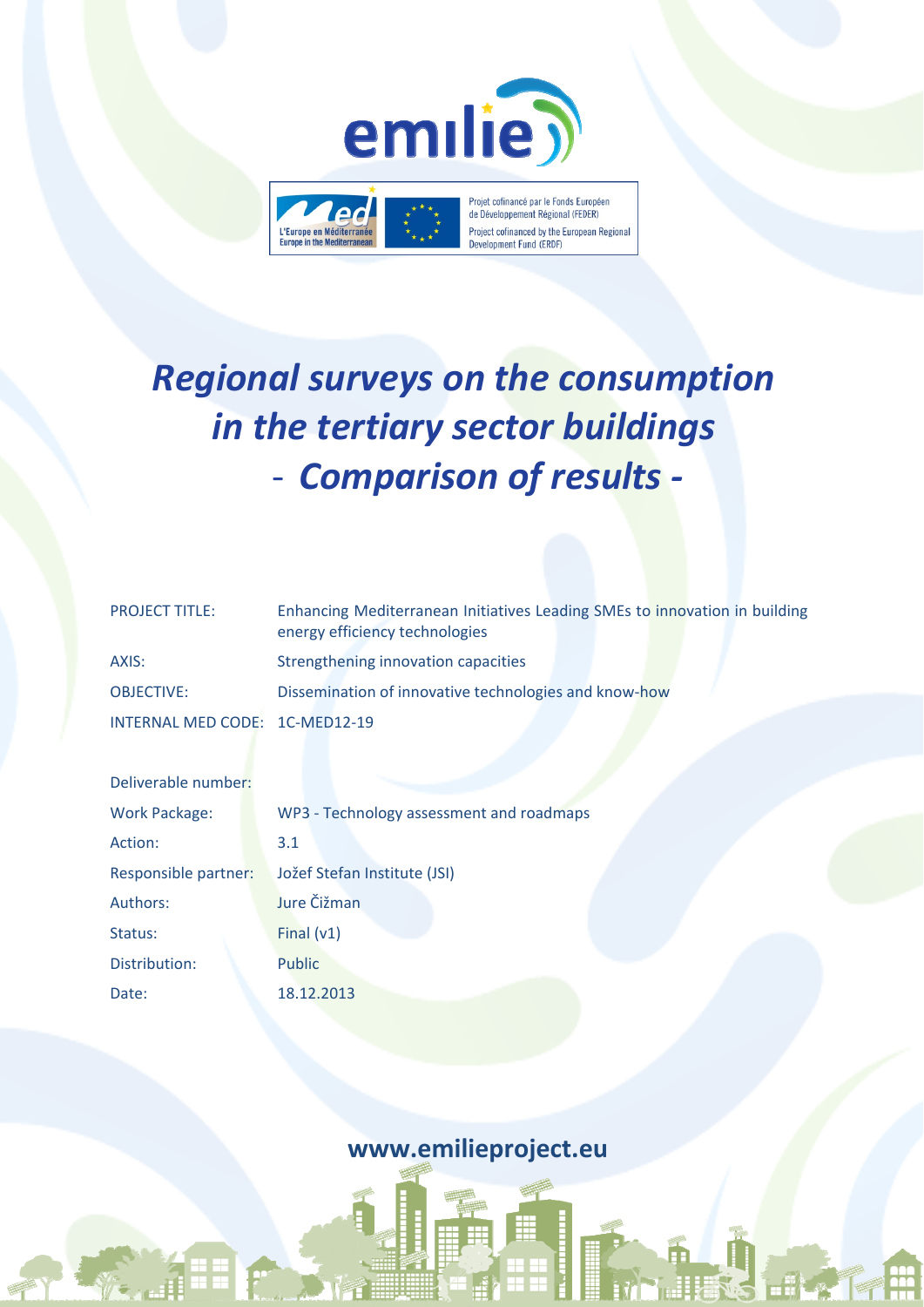



Projet cofinancé par le Fonds Européen de Développement Régional (FEDER) Project cofinanced by the European Regional Development Fund (ERDF)

# *Regional surveys on the consumption in the tertiary sector buildings* ‐ *Comparison of results ‐*

| <b>PROJECT TITLE:</b>          | Enhancing Mediterranean Initiatives Leading SMEs to innovation in building<br>energy efficiency technologies |
|--------------------------------|--------------------------------------------------------------------------------------------------------------|
| AXIS:                          | Strengthening innovation capacities                                                                          |
| <b>OBJECTIVE:</b>              | Dissemination of innovative technologies and know-how                                                        |
| INTERNAL MED CODE: 1C-MED12-19 |                                                                                                              |

| Deliverable number:  |                                          |
|----------------------|------------------------------------------|
| <b>Work Package:</b> | WP3 - Technology assessment and roadmaps |
| Action:              | 3.1                                      |
| Responsible partner: | Jožef Stefan Institute (JSI)             |
| Authors:             | Jure Čižman                              |
| Status:              | Final $(v1)$                             |
| Distribution:        | Public                                   |
| Date:                | 18.12.2013                               |

**www.emilieproject.eu**

**HAT**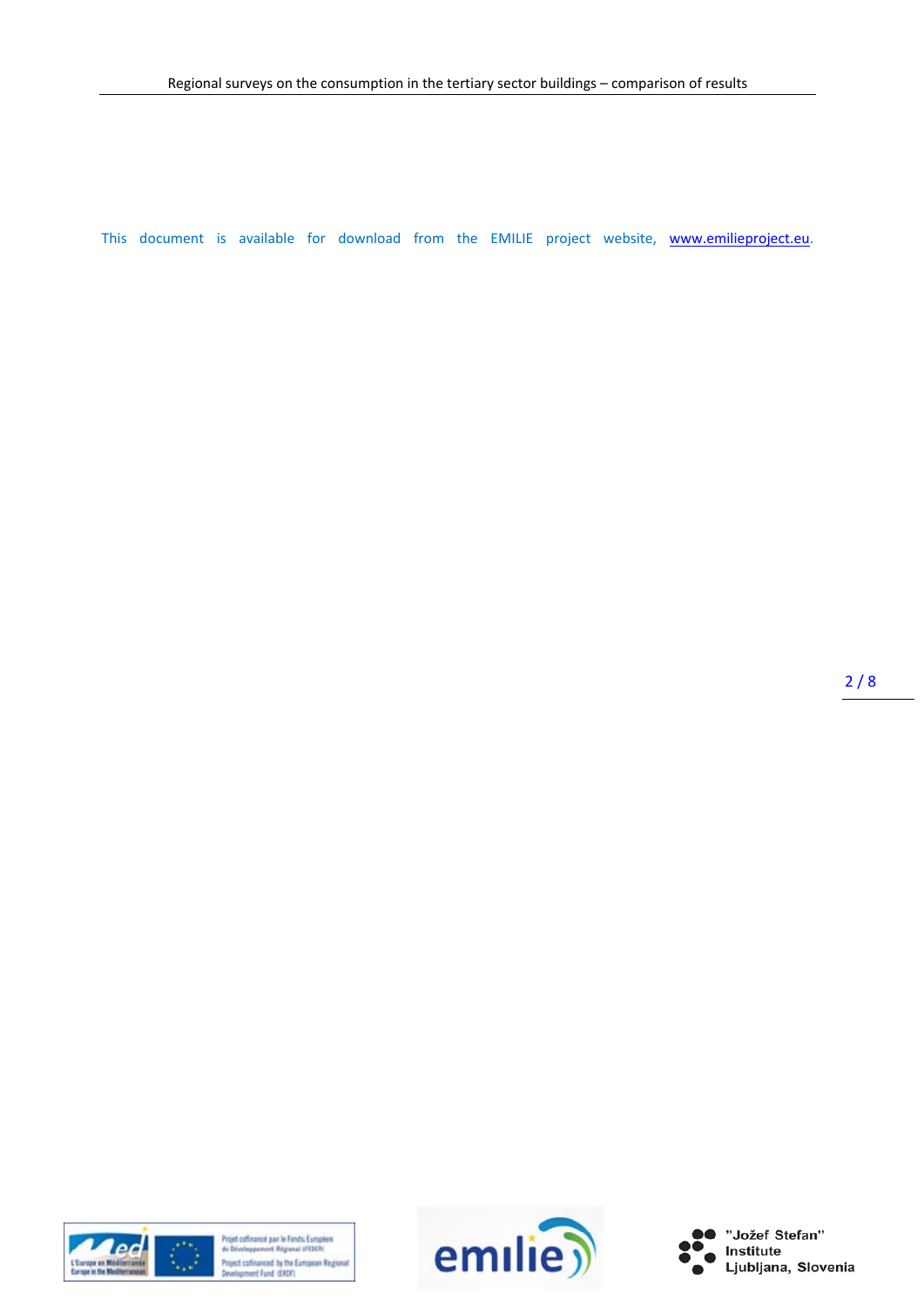This document is available for download from the EMILIE project website, www.emilieproject.eu.

 $2/8$ 



Projet coffinancé par le Fonds Européen<br>de Développement Régional (FEDER) Project cofinanced by the European Regional<br>Development Fund (ERDF)



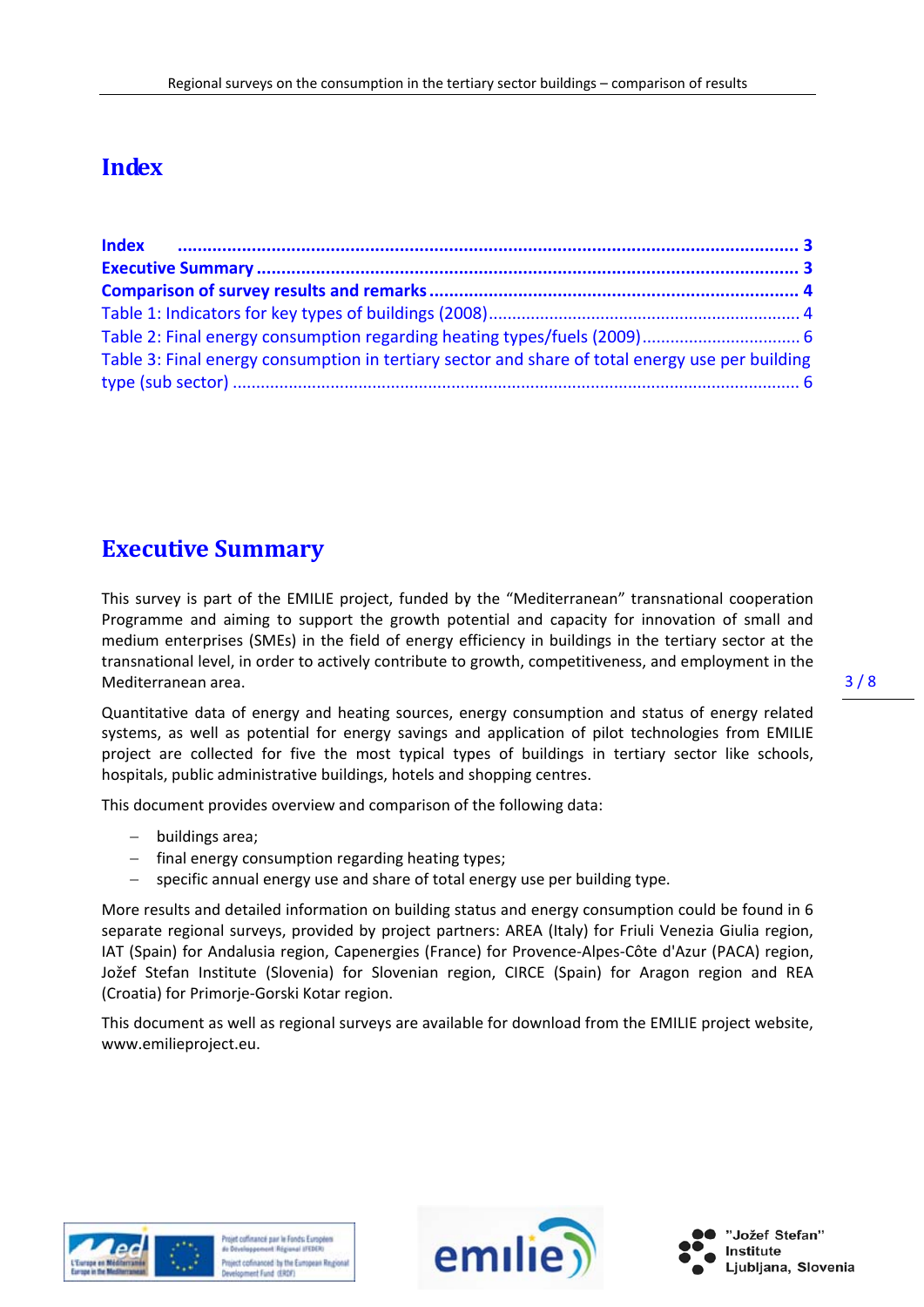# **Index**

| Table 3: Final energy consumption in tertiary sector and share of total energy use per building |  |
|-------------------------------------------------------------------------------------------------|--|
|                                                                                                 |  |

## **Executive Summary**

This survey is part of the EMILIE project, funded by the "Mediterranean" transnational cooperation Programme and aiming to support the growth potential and capacity for innovation of small and medium enterprises (SMEs) in the field of energy efficiency in buildings in the tertiary sector at the transnational level, in order to actively contribute to growth, competitiveness, and employment in the Mediterranean area.

Quantitative data of energy and heating sources, energy consumption and status of energy related systems, as well as potential for energy savings and application of pilot technologies from EMILIE project are collected for five the most typical types of buildings in tertiary sector like schools, hospitals, public administrative buildings, hotels and shopping centres.

This document provides overview and comparison of the following data:

- buildings area:
- final energy consumption regarding heating types;
- specific annual energy use and share of total energy use per building type.

More results and detailed information on building status and energy consumption could be found in 6 separate regional surveys, provided by project partners: AREA (Italy) for Friuli Venezia Giulia region, IAT (Spain) for Andalusia region, Capenergies (France) for Provence‐Alpes‐Côte d'Azur (PACA) region, Jožef Stefan Institute (Slovenia) for Slovenian region, CIRCE (Spain) for Aragon region and REA (Croatia) for Primorje‐Gorski Kotar region.

This document as well as regional surveys are available for download from the EMILIE project website, www.emilieproject.eu.



toiet coffinance mar le Fonds Europeen ct cofinanced by the European Regi



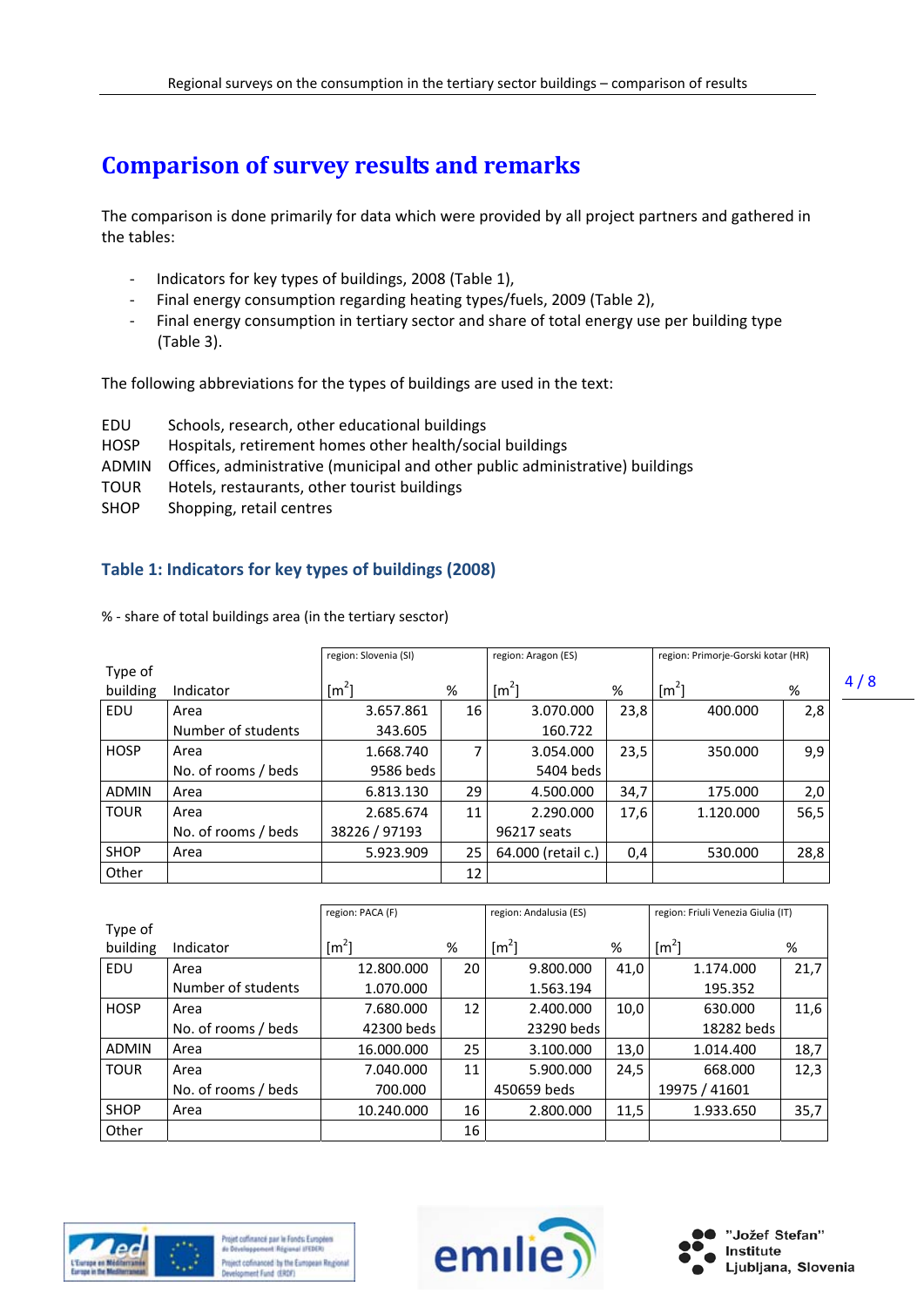# **Comparison of survey results and remarks**

The comparison is done primarily for data which were provided by all project partners and gathered in the tables:

- ‐ Indicators for key types of buildings, 2008 (Table 1),
- ‐ Final energy consumption regarding heating types/fuels, 2009 (Table 2),
- ‐ Final energy consumption in tertiary sector and share of total energy use per building type (Table 3).

The following abbreviations for the types of buildings are used in the text:

- EDU Schools, research, other educational buildings
- HOSP Hospitals, retirement homes other health/social buildings
- ADMIN Offices, administrative (municipal and other public administrative) buildings
- TOUR Hotels, restaurants, other tourist buildings
- SHOP Shopping, retail centres

### **Table 1: Indicators for key types of buildings (2008)**

% ‐ share of total buildings area (in the tertiary sesctor)

|              |                     | region: Slovenia (SI) |    | region: Aragon (ES) |      | region: Primorje-Gorski kotar (HR) |      |
|--------------|---------------------|-----------------------|----|---------------------|------|------------------------------------|------|
| Type of      |                     |                       |    |                     |      |                                    |      |
| building     | Indicator           | $\lceil m^2 \rceil$   | %  | $\lceil m^2 \rceil$ | %    | $\lceil m^2 \rceil$                | %    |
| EDU          | Area                | 3.657.861             | 16 | 3.070.000           | 23,8 | 400.000                            | 2,8  |
|              | Number of students  | 343.605               |    | 160.722             |      |                                    |      |
| <b>HOSP</b>  | Area                | 1.668.740             |    | 3.054.000           | 23,5 | 350.000                            | 9,9  |
|              | No. of rooms / beds | 9586 beds             |    | 5404 beds           |      |                                    |      |
| <b>ADMIN</b> | Area                | 6.813.130             | 29 | 4.500.000           | 34,7 | 175.000                            | 2,0  |
| <b>TOUR</b>  | Area                | 2.685.674             | 11 | 2.290.000           | 17,6 | 1.120.000                          | 56,5 |
|              | No. of rooms / beds | 38226 / 97193         |    | 96217 seats         |      |                                    |      |
| <b>SHOP</b>  | Area                | 5.923.909             | 25 | 64.000 (retail c.)  | 0,4  | 530.000                            | 28,8 |
| Other        |                     |                       | 12 |                     |      |                                    |      |

|             |                     | region: PACA (F) |    | region: Andalusia (ES) |      | region: Friuli Venezia Giulia (IT) |      |
|-------------|---------------------|------------------|----|------------------------|------|------------------------------------|------|
| Type of     |                     |                  |    |                        |      |                                    |      |
| building    | Indicator           | $\text{Im}^2$    | %  | $\text{[m}^2$          | %    | $\lceil m^2 \rceil$                | %    |
| EDU         | Area                | 12.800.000       | 20 | 9.800.000              | 41,0 | 1.174.000                          | 21,7 |
|             | Number of students  | 1.070.000        |    | 1.563.194              |      | 195.352                            |      |
| <b>HOSP</b> | Area                | 7.680.000        | 12 | 2.400.000              | 10,0 | 630.000                            | 11,6 |
|             | No. of rooms / beds | 42300 beds       |    | 23290 beds             |      | 18282 beds                         |      |
| ADMIN       | Area                | 16.000.000       | 25 | 3.100.000              | 13,0 | 1.014.400                          | 18,7 |
| <b>TOUR</b> | Area                | 7.040.000        | 11 | 5.900.000              | 24,5 | 668,000                            | 12,3 |
|             | No. of rooms / beds | 700.000          |    | 450659 beds            |      | 19975 / 41601                      |      |
| <b>SHOP</b> | Area                | 10.240.000       | 16 | 2.800.000              | 11,5 | 1.933.650                          | 35,7 |
| Other       |                     |                  | 16 |                        |      |                                    |      |







4 / 8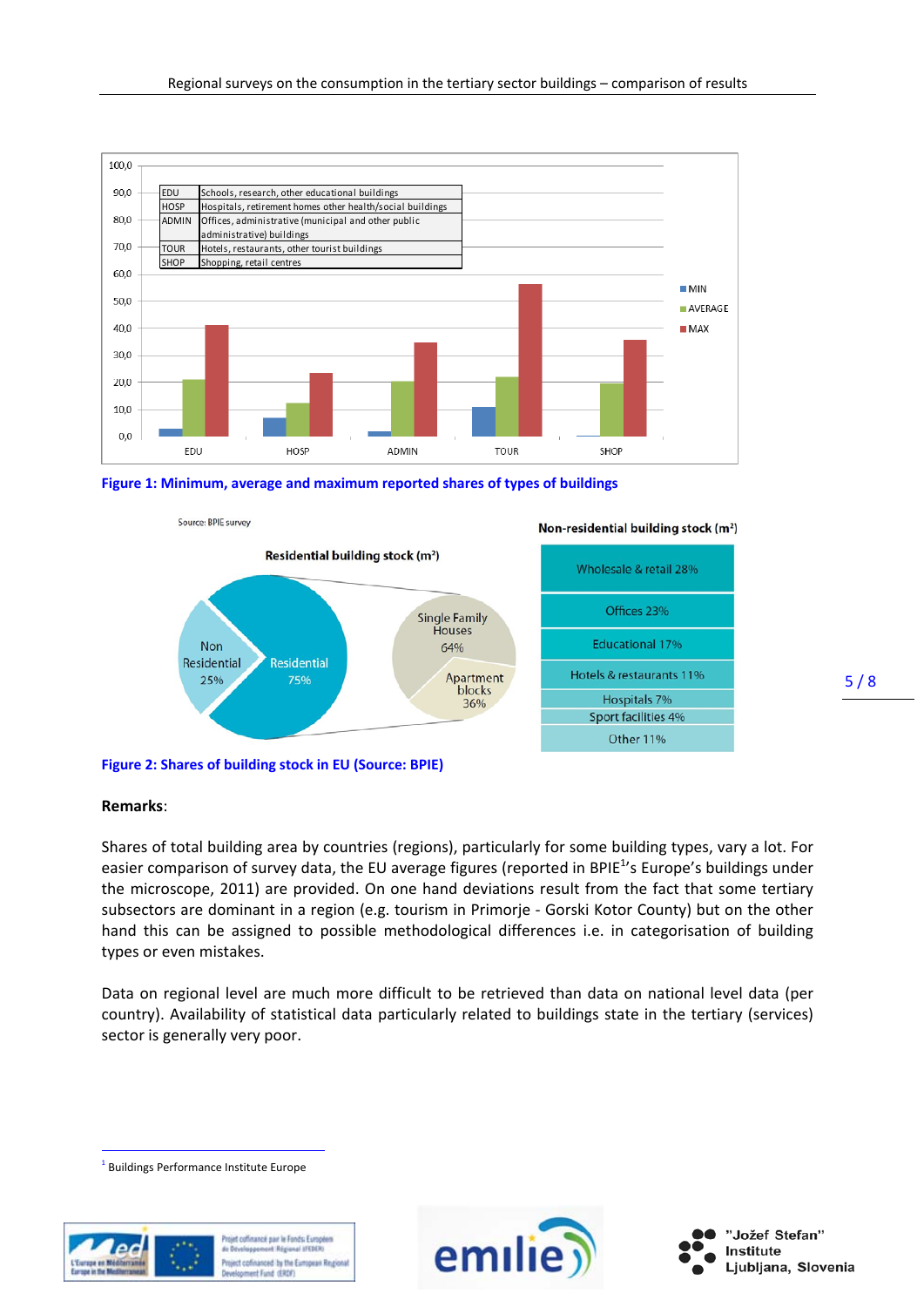

**Figure 1: Minimum, average and maximum reported shares of types of buildings**



**Figure 2: Shares of building stock in EU (Source: BPIE)**

Source: BPIE survey

#### **Remarks**:

 $\overline{a}$ 

Shares of total building area by countries (regions), particularly for some building types, vary a lot. For easier comparison of survey data, the EU average figures (reported in BPIE<sup>1</sup>'s Europe's buildings under the microscope, 2011) are provided. On one hand deviations result from the fact that some tertiary subsectors are dominant in a region (e.g. tourism in Primorje - Gorski Kotor County) but on the other hand this can be assigned to possible methodological differences i.e. in categorisation of building types or even mistakes.

Data on regional level are much more difficult to be retrieved than data on national level data (per country). Availability of statistical data particularly related to buildings state in the tertiary (services) sector is generally very poor.

<sup>1</sup> Buildings Performance Institute Europe





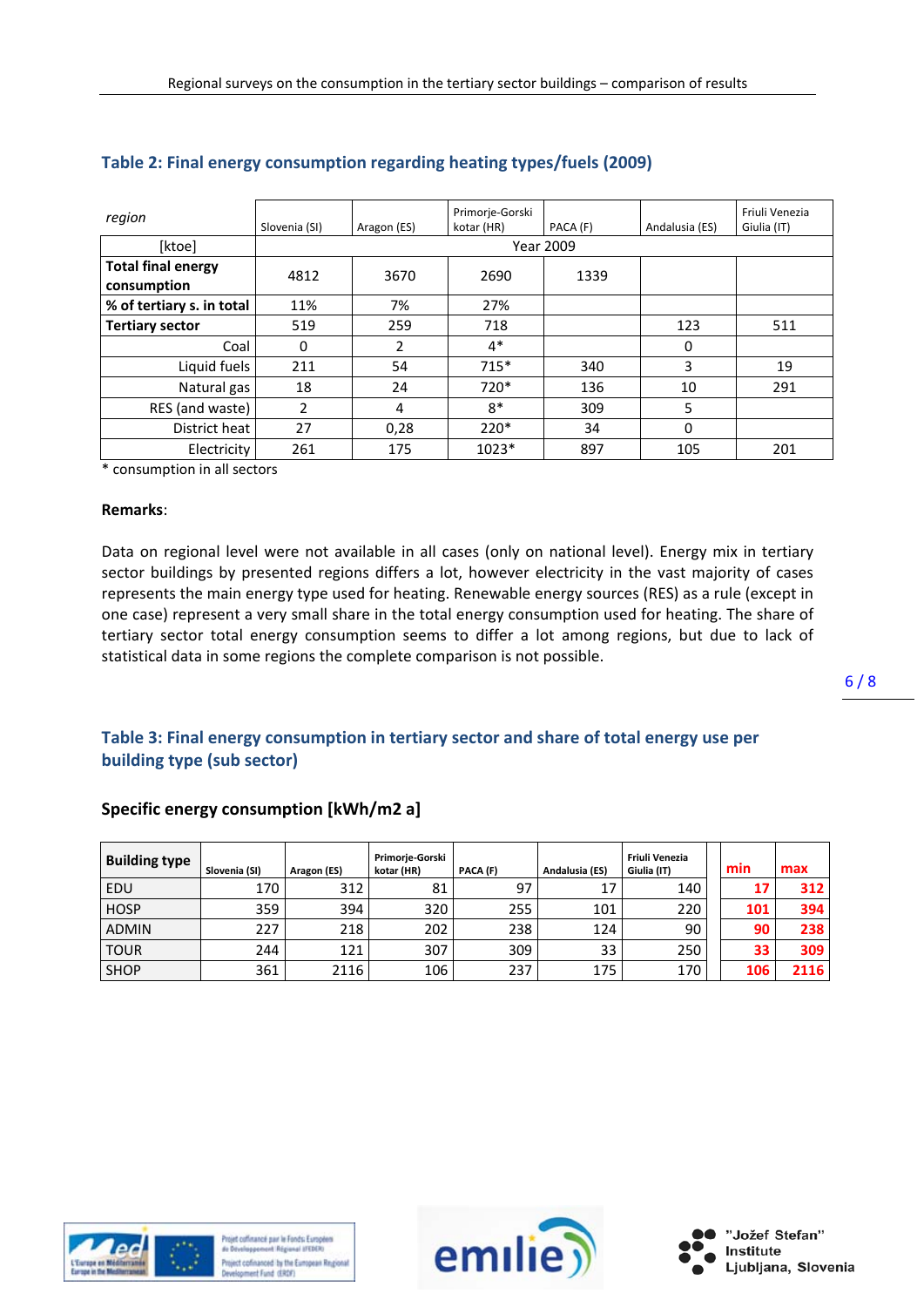| region                                   | Slovenia (SI)    | Aragon (ES) | Primorje-Gorski<br>kotar (HR) | PACA (F) | Andalusia (ES) | Friuli Venezia<br>Giulia (IT) |  |  |
|------------------------------------------|------------------|-------------|-------------------------------|----------|----------------|-------------------------------|--|--|
| [ktoe]                                   | <b>Year 2009</b> |             |                               |          |                |                               |  |  |
| <b>Total final energy</b><br>consumption | 4812             | 3670        | 2690<br>1339                  |          |                |                               |  |  |
| % of tertiary s. in total                | 11%              | 7%          | 27%                           |          |                |                               |  |  |
| <b>Tertiary sector</b>                   | 519              | 259         | 718                           |          | 123            | 511                           |  |  |
| Coal                                     | $\Omega$         | 2           | $4*$                          |          | 0              |                               |  |  |
| Liquid fuels                             | 211              | 54          | $715*$                        | 340      | 3              | 19                            |  |  |
| Natural gas                              | 18               | 24          | 720*                          | 136      | 10             | 291                           |  |  |
| RES (and waste)                          | $\overline{2}$   | 4           | $8*$                          | 309      | 5              |                               |  |  |
| District heat                            | 27               | 0,28        | $220*$                        | 34       | 0              |                               |  |  |
| Electricity                              | 261              | 175         | 1023*                         | 897      | 105            | 201                           |  |  |

### **Table 2: Final energy consumption regarding heating types/fuels (2009)**

\* consumption in all sectors

#### **Remarks**:

Data on regional level were not available in all cases (only on national level). Energy mix in tertiary sector buildings by presented regions differs a lot, however electricity in the vast majority of cases represents the main energy type used for heating. Renewable energy sources (RES) as a rule (except in one case) represent a very small share in the total energy consumption used for heating. The share of tertiary sector total energy consumption seems to differ a lot among regions, but due to lack of statistical data in some regions the complete comparison is not possible.

### **Table 3: Final energy consumption in tertiary sector and share of total energy use per building type (sub sector)**

#### **Specific energy consumption [kWh/m2 a]**

| <b>Building type</b> | Slovenia (SI) | Aragon (ES) | Primorje-Gorski<br>kotar (HR) | PACA (F) | Andalusia (ES) | Friuli Venezia<br>Giulia (IT) | min | max  |
|----------------------|---------------|-------------|-------------------------------|----------|----------------|-------------------------------|-----|------|
| EDU                  | 170           | 312         | 81                            | 97       | 17             | 140                           | 17  | 312  |
| <b>HOSP</b>          | 359           | 394         | 320                           | 255      | 101            | 220                           | 101 | 394  |
| <b>ADMIN</b>         | 227           | 218         | 202                           | 238      | 124            | 90                            | 90  | 238  |
| <b>TOUR</b>          | 244           | 121         | 307                           | 309      | 33             | 250                           | 33  | 309  |
| <b>SHOP</b>          | 361           | 2116        | 106                           | 237      | 175            | 170                           | 106 | 2116 |



toiet coffinance mar le Fonds Europeen d Régional ISTOER ct cofinanced by the European Regio



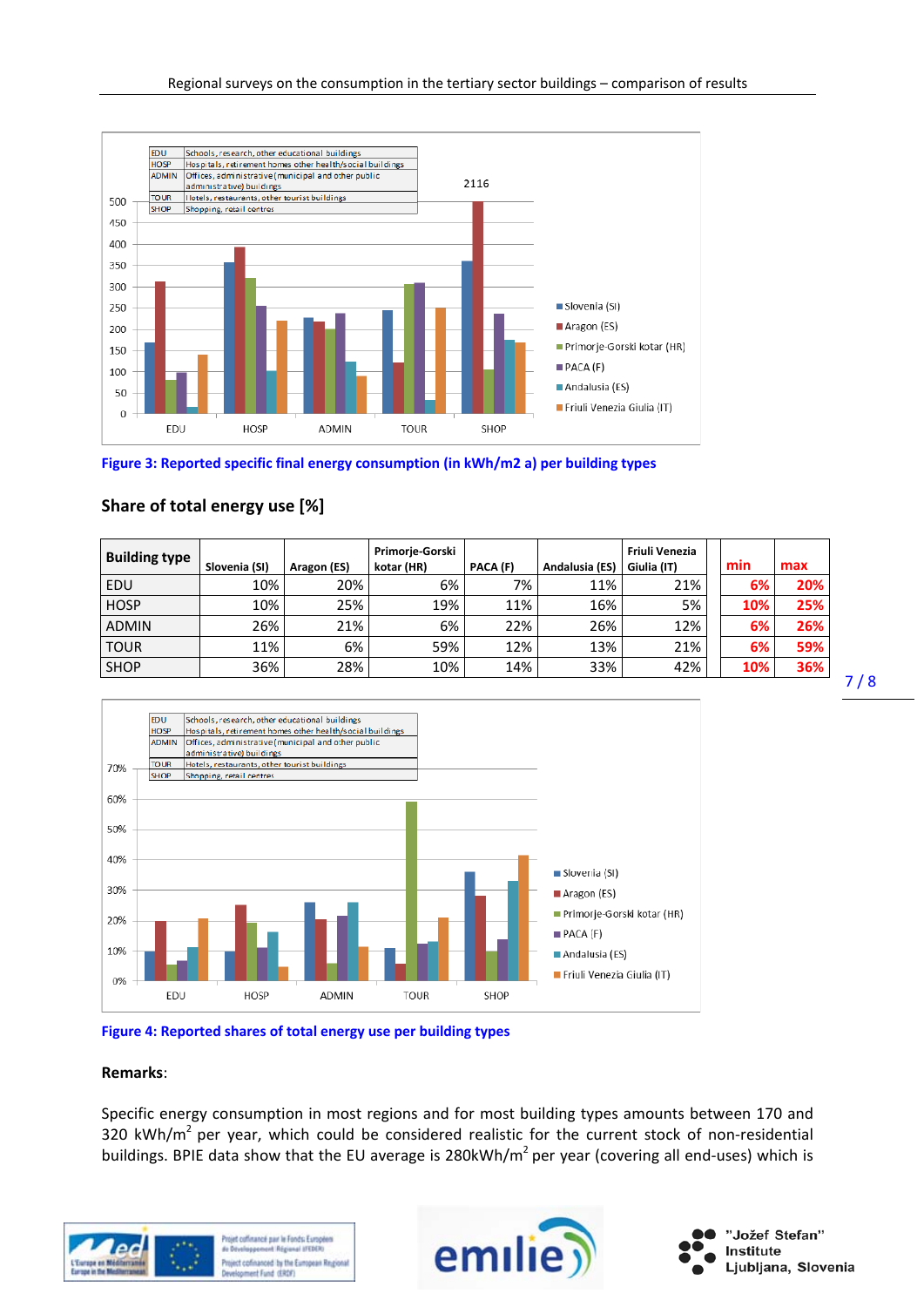

#### **Figure 3: Reported specific final energy consumption (in kWh/m2 a) per building types**







#### **Figure 4: Reported shares of total energy use per building types**

#### **Remarks**:

Specific energy consumption in most regions and for most building types amounts between 170 and 320 kWh/ $m^2$  per year, which could be considered realistic for the current stock of non-residential buildings. BPIE data show that the EU average is 280kWh/m<sup>2</sup> per year (covering all end-uses) which is